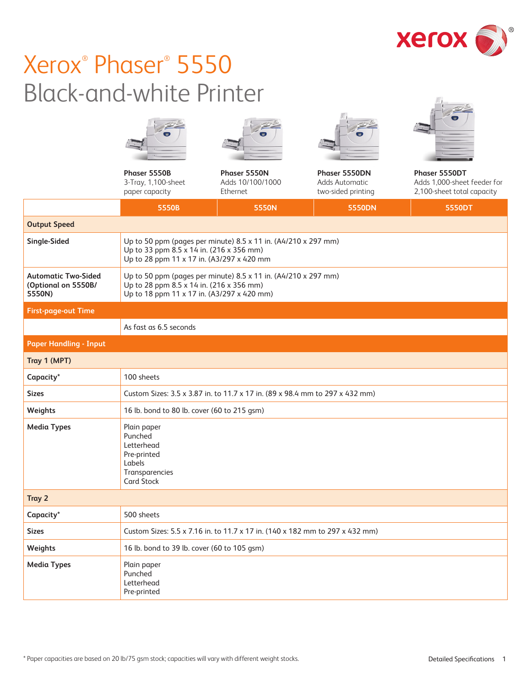

 $\frac{1}{1-\frac{1}{2}}$ 

# Xerox® Phaser® 5550 Black-and-white Printer

|                                                             |                                                                                                                                                          |                                              |                                                       | $\bullet$                                                                  |
|-------------------------------------------------------------|----------------------------------------------------------------------------------------------------------------------------------------------------------|----------------------------------------------|-------------------------------------------------------|----------------------------------------------------------------------------|
|                                                             | Phaser 5550B<br>3-Tray, 1,100-sheet<br>paper capacity                                                                                                    | Phaser 5550N<br>Adds 10/100/1000<br>Ethernet | Phaser 5550DN<br>Adds Automatic<br>two-sided printing | Phaser 5550DT<br>Adds 1,000-sheet feeder for<br>2,100-sheet total capacity |
|                                                             | 5550B                                                                                                                                                    | 5550N                                        | 5550DN                                                | 5550DT                                                                     |
| <b>Output Speed</b>                                         |                                                                                                                                                          |                                              |                                                       |                                                                            |
| Single-Sided                                                | Up to 50 ppm (pages per minute) 8.5 x 11 in. (A4/210 x 297 mm)<br>Up to 33 ppm 8.5 x 14 in. (216 x 356 mm)<br>Up to 28 ppm 11 x 17 in. (A3/297 x 420 mm  |                                              |                                                       |                                                                            |
| <b>Automatic Two-Sided</b><br>(Optional on 5550B/<br>5550N) | Up to 50 ppm (pages per minute) 8.5 x 11 in. (A4/210 x 297 mm)<br>Up to 28 ppm 8.5 x 14 in. (216 x 356 mm)<br>Up to 18 ppm 11 x 17 in. (A3/297 x 420 mm) |                                              |                                                       |                                                                            |
| <b>First-page-out Time</b>                                  |                                                                                                                                                          |                                              |                                                       |                                                                            |
|                                                             | As fast as 6.5 seconds                                                                                                                                   |                                              |                                                       |                                                                            |
| <b>Paper Handling - Input</b>                               |                                                                                                                                                          |                                              |                                                       |                                                                            |
| Tray 1 (MPT)                                                |                                                                                                                                                          |                                              |                                                       |                                                                            |
| Capacity*                                                   | 100 sheets                                                                                                                                               |                                              |                                                       |                                                                            |
| <b>Sizes</b>                                                | Custom Sizes: 3.5 x 3.87 in. to 11.7 x 17 in. (89 x 98.4 mm to 297 x 432 mm)                                                                             |                                              |                                                       |                                                                            |
| Weights                                                     | 16 lb. bond to 80 lb. cover (60 to 215 gsm)                                                                                                              |                                              |                                                       |                                                                            |
| <b>Media Types</b>                                          | Plain paper<br>Punched<br>Letterhead<br>Pre-printed<br>Labels<br>Transparencies<br><b>Card Stock</b>                                                     |                                              |                                                       |                                                                            |
| Tray 2                                                      |                                                                                                                                                          |                                              |                                                       |                                                                            |
| Capacity*                                                   | 500 sheets                                                                                                                                               |                                              |                                                       |                                                                            |
| <b>Sizes</b>                                                | Custom Sizes: 5.5 x 7.16 in. to 11.7 x 17 in. (140 x 182 mm to 297 x 432 mm)                                                                             |                                              |                                                       |                                                                            |
| Weights                                                     | 16 lb. bond to 39 lb. cover (60 to 105 gsm)                                                                                                              |                                              |                                                       |                                                                            |
| <b>Media Types</b>                                          | Plain paper<br>Punched<br>Letterhead<br>Pre-printed                                                                                                      |                                              |                                                       |                                                                            |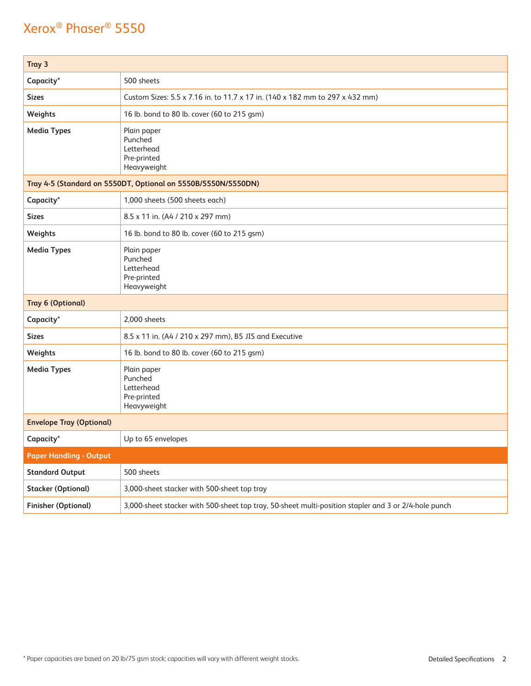| Tray 3                                                        |                                                                                                      |  |  |
|---------------------------------------------------------------|------------------------------------------------------------------------------------------------------|--|--|
| Capacity*                                                     | 500 sheets                                                                                           |  |  |
| <b>Sizes</b>                                                  | Custom Sizes: 5.5 x 7.16 in. to 11.7 x 17 in. (140 x 182 mm to 297 x 432 mm)                         |  |  |
| Weights                                                       | 16 lb. bond to 80 lb. cover (60 to 215 gsm)                                                          |  |  |
| <b>Media Types</b>                                            | Plain paper<br>Punched<br>Letterhead<br>Pre-printed<br>Heavyweight                                   |  |  |
| Tray 4-5 (Standard on 5550DT, Optional on 5550B/5550N/5550DN) |                                                                                                      |  |  |
| Capacity*                                                     | 1,000 sheets (500 sheets each)                                                                       |  |  |
| <b>Sizes</b>                                                  | 8.5 x 11 in. (A4 / 210 x 297 mm)                                                                     |  |  |
| Weights                                                       | 16 lb. bond to 80 lb. cover (60 to 215 gsm)                                                          |  |  |
| <b>Media Types</b>                                            | Plain paper<br>Punched<br>Letterhead<br>Pre-printed<br>Heavyweight                                   |  |  |
| <b>Tray 6 (Optional)</b>                                      |                                                                                                      |  |  |
| Capacity*                                                     | 2,000 sheets                                                                                         |  |  |
| <b>Sizes</b>                                                  | 8.5 x 11 in. (A4 / 210 x 297 mm), B5 JIS and Executive                                               |  |  |
| Weights                                                       | 16 lb. bond to 80 lb. cover (60 to 215 gsm)                                                          |  |  |
| <b>Media Types</b>                                            | Plain paper<br>Punched<br>Letterhead<br>Pre-printed<br>Heavyweight                                   |  |  |
| <b>Envelope Tray (Optional)</b>                               |                                                                                                      |  |  |
| Capacity*                                                     | Up to 65 envelopes                                                                                   |  |  |
| <b>Paper Handling - Output</b>                                |                                                                                                      |  |  |
| <b>Standard Output</b>                                        | 500 sheets                                                                                           |  |  |
| <b>Stacker (Optional)</b>                                     | 3,000-sheet stacker with 500-sheet top tray                                                          |  |  |
| <b>Finisher (Optional)</b>                                    | 3,000-sheet stacker with 500-sheet top tray, 50-sheet multi-position stapler and 3 or 2/4-hole punch |  |  |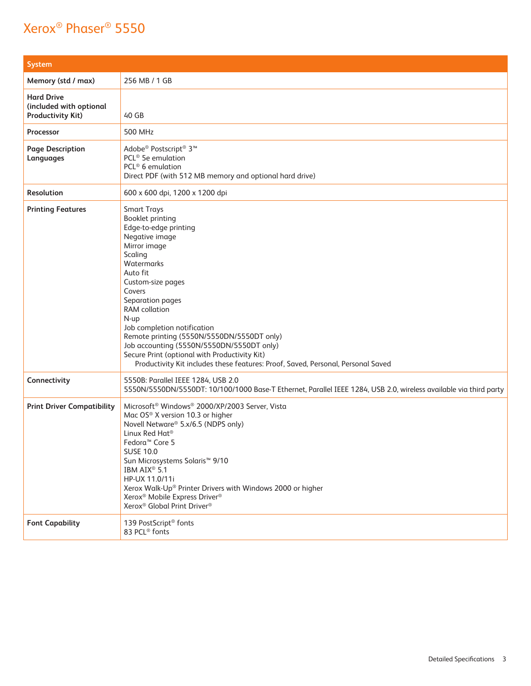| <b>System</b>                                                            |                                                                                                                                                                                                                                                                                                                                                                                                                                                                                                 |
|--------------------------------------------------------------------------|-------------------------------------------------------------------------------------------------------------------------------------------------------------------------------------------------------------------------------------------------------------------------------------------------------------------------------------------------------------------------------------------------------------------------------------------------------------------------------------------------|
| Memory (std / max)                                                       | 256 MB / 1 GB                                                                                                                                                                                                                                                                                                                                                                                                                                                                                   |
| <b>Hard Drive</b><br>(included with optional<br><b>Productivity Kit)</b> | 40 GB                                                                                                                                                                                                                                                                                                                                                                                                                                                                                           |
| Processor                                                                | 500 MHz                                                                                                                                                                                                                                                                                                                                                                                                                                                                                         |
| <b>Page Description</b><br>Languages                                     | Adobe® Postscript® 3™<br>PCL <sup>®</sup> 5e emulation<br>PCL <sup>®</sup> 6 emulation<br>Direct PDF (with 512 MB memory and optional hard drive)                                                                                                                                                                                                                                                                                                                                               |
| <b>Resolution</b>                                                        | 600 x 600 dpi, 1200 x 1200 dpi                                                                                                                                                                                                                                                                                                                                                                                                                                                                  |
| <b>Printing Features</b>                                                 | <b>Smart Trays</b><br>Booklet printing<br>Edge-to-edge printing<br>Negative image<br>Mirror image<br>Scaling<br>Watermarks<br>Auto fit<br>Custom-size pages<br>Covers<br>Separation pages<br><b>RAM</b> collation<br>N-up<br>Job completion notification<br>Remote printing (5550N/5550DN/5550DT only)<br>Job accounting (5550N/5550DN/5550DT only)<br>Secure Print (optional with Productivity Kit)<br>Productivity Kit includes these features: Proof, Saved, Personal, Personal Saved        |
| Connectivity                                                             | 5550B: Parallel IEEE 1284, USB 2.0<br>5550N/5550DN/5550DT: 10/100/1000 Base-T Ethernet, Parallel IEEE 1284, USB 2.0, wireless available via third party                                                                                                                                                                                                                                                                                                                                         |
| <b>Print Driver Compatibility</b>                                        | Microsoft <sup>®</sup> Windows® 2000/XP/2003 Server, Vista<br>Mac OS® X version 10.3 or higher<br>Novell Netware® 5.x/6.5 (NDPS only)<br>Linux Red Hat <sup>®</sup><br>Fedora <sup>™</sup> Core 5<br><b>SUSE 10.0</b><br>Sun Microsystems Solaris <sup>™</sup> 9/10<br>IBM AIX <sup>®</sup> 5.1<br>HP-UX 11.0/11i<br>Xerox Walk-Up® Printer Drivers with Windows 2000 or higher<br>Xerox <sup>®</sup> Mobile Express Driver <sup>®</sup><br>Xerox <sup>®</sup> Global Print Driver <sup>®</sup> |
| <b>Font Capability</b>                                                   | 139 PostScript <sup>®</sup> fonts<br>83 PCL <sup>®</sup> fonts                                                                                                                                                                                                                                                                                                                                                                                                                                  |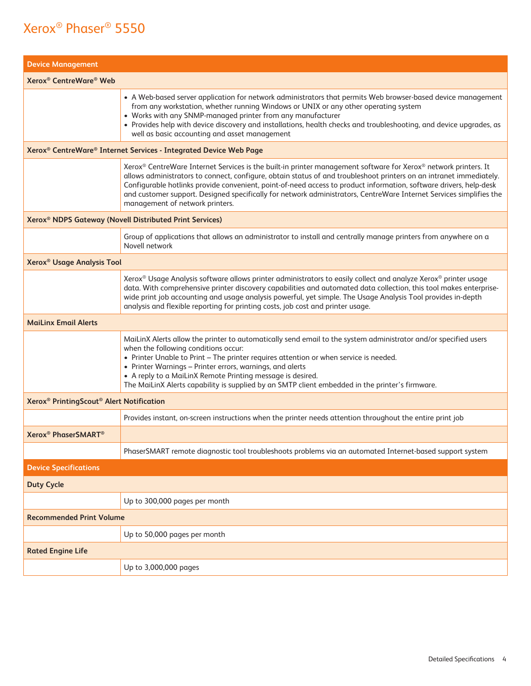| <b>Device Management</b>                                         |                                                                                                                                                                                                                                                                                                                                                                                                                                                                                                                        |  |  |
|------------------------------------------------------------------|------------------------------------------------------------------------------------------------------------------------------------------------------------------------------------------------------------------------------------------------------------------------------------------------------------------------------------------------------------------------------------------------------------------------------------------------------------------------------------------------------------------------|--|--|
| Xerox <sup>®</sup> CentreWare <sup>®</sup> Web                   |                                                                                                                                                                                                                                                                                                                                                                                                                                                                                                                        |  |  |
|                                                                  | • A Web-based server application for network administrators that permits Web browser-based device management<br>from any workstation, whether running Windows or UNIX or any other operating system<br>• Works with any SNMP-managed printer from any manufacturer<br>• Provides help with device discovery and installations, health checks and troubleshooting, and device upgrades, as<br>well as basic accounting and asset management                                                                             |  |  |
|                                                                  | Xerox <sup>®</sup> CentreWare® Internet Services - Integrated Device Web Page                                                                                                                                                                                                                                                                                                                                                                                                                                          |  |  |
|                                                                  | Xerox® CentreWare Internet Services is the built-in printer management software for Xerox® network printers. It<br>allows administrators to connect, configure, obtain status of and troubleshoot printers on an intranet immediately.<br>Configurable hotlinks provide convenient, point-of-need access to product information, software drivers, help-desk<br>and customer support. Designed specifically for network administrators, CentreWare Internet Services simplifies the<br>management of network printers. |  |  |
|                                                                  | Xerox <sup>®</sup> NDPS Gateway (Novell Distributed Print Services)                                                                                                                                                                                                                                                                                                                                                                                                                                                    |  |  |
|                                                                  | Group of applications that allows an administrator to install and centrally manage printers from anywhere on a<br>Novell network                                                                                                                                                                                                                                                                                                                                                                                       |  |  |
|                                                                  | Xerox <sup>®</sup> Usage Analysis Tool                                                                                                                                                                                                                                                                                                                                                                                                                                                                                 |  |  |
|                                                                  | Xerox® Usage Analysis software allows printer administrators to easily collect and analyze Xerox® printer usage<br>data. With comprehensive printer discovery capabilities and automated data collection, this tool makes enterprise-<br>wide print job accounting and usage analysis powerful, yet simple. The Usage Analysis Tool provides in-depth<br>analysis and flexible reporting for printing costs, job cost and printer usage.                                                                               |  |  |
| <b>MaiLinx Email Alerts</b>                                      |                                                                                                                                                                                                                                                                                                                                                                                                                                                                                                                        |  |  |
|                                                                  | MaiLinX Alerts allow the printer to automatically send email to the system administrator and/or specified users<br>when the following conditions occur:<br>• Printer Unable to Print - The printer requires attention or when service is needed.<br>• Printer Warnings - Printer errors, warnings, and alerts<br>• A reply to a MaiLinX Remote Printing message is desired.<br>The MaiLinX Alerts capability is supplied by an SMTP client embedded in the printer's firmware.                                         |  |  |
| Xerox <sup>®</sup> PrintingScout <sup>®</sup> Alert Notification |                                                                                                                                                                                                                                                                                                                                                                                                                                                                                                                        |  |  |
|                                                                  | Provides instant, on-screen instructions when the printer needs attention throughout the entire print job                                                                                                                                                                                                                                                                                                                                                                                                              |  |  |
| Xerox <sup>®</sup> PhaserSMART <sup>®</sup>                      |                                                                                                                                                                                                                                                                                                                                                                                                                                                                                                                        |  |  |
|                                                                  | PhaserSMART remote diagnostic tool troubleshoots problems via an automated Internet-based support system                                                                                                                                                                                                                                                                                                                                                                                                               |  |  |
| <b>Device Specifications</b>                                     |                                                                                                                                                                                                                                                                                                                                                                                                                                                                                                                        |  |  |
| <b>Duty Cycle</b>                                                |                                                                                                                                                                                                                                                                                                                                                                                                                                                                                                                        |  |  |
|                                                                  | Up to 300,000 pages per month                                                                                                                                                                                                                                                                                                                                                                                                                                                                                          |  |  |
| <b>Recommended Print Volume</b>                                  |                                                                                                                                                                                                                                                                                                                                                                                                                                                                                                                        |  |  |
|                                                                  | Up to 50,000 pages per month                                                                                                                                                                                                                                                                                                                                                                                                                                                                                           |  |  |
| <b>Rated Engine Life</b>                                         |                                                                                                                                                                                                                                                                                                                                                                                                                                                                                                                        |  |  |
|                                                                  | Up to 3,000,000 pages                                                                                                                                                                                                                                                                                                                                                                                                                                                                                                  |  |  |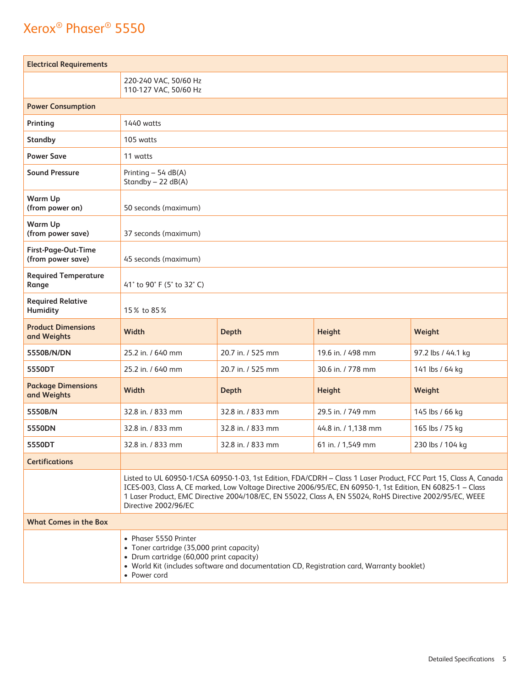| <b>Electrical Requirements</b>           |                                                                                                                                                                                                                                                                                                                                                                     |                   |                     |                    |  |
|------------------------------------------|---------------------------------------------------------------------------------------------------------------------------------------------------------------------------------------------------------------------------------------------------------------------------------------------------------------------------------------------------------------------|-------------------|---------------------|--------------------|--|
|                                          | 220-240 VAC, 50/60 Hz<br>110-127 VAC, 50/60 Hz                                                                                                                                                                                                                                                                                                                      |                   |                     |                    |  |
| <b>Power Consumption</b>                 |                                                                                                                                                                                                                                                                                                                                                                     |                   |                     |                    |  |
| Printing                                 | <b>1440</b> watts                                                                                                                                                                                                                                                                                                                                                   |                   |                     |                    |  |
| <b>Standby</b>                           | 105 watts                                                                                                                                                                                                                                                                                                                                                           |                   |                     |                    |  |
| <b>Power Save</b>                        | 11 watts                                                                                                                                                                                                                                                                                                                                                            |                   |                     |                    |  |
| <b>Sound Pressure</b>                    | Printing - 54 dB(A)<br>Standby - 22 dB(A)                                                                                                                                                                                                                                                                                                                           |                   |                     |                    |  |
| Warm Up<br>(from power on)               | 50 seconds (maximum)                                                                                                                                                                                                                                                                                                                                                |                   |                     |                    |  |
| Warm Up<br>(from power save)             | 37 seconds (maximum)                                                                                                                                                                                                                                                                                                                                                |                   |                     |                    |  |
| First-Page-Out-Time<br>(from power save) | 45 seconds (maximum)                                                                                                                                                                                                                                                                                                                                                |                   |                     |                    |  |
| <b>Required Temperature</b><br>Range     | 41° to 90° F (5° to 32° C)                                                                                                                                                                                                                                                                                                                                          |                   |                     |                    |  |
| <b>Required Relative</b><br>Humidity     | 15% to 85%                                                                                                                                                                                                                                                                                                                                                          |                   |                     |                    |  |
| <b>Product Dimensions</b><br>and Weights | Width                                                                                                                                                                                                                                                                                                                                                               | <b>Depth</b>      | <b>Height</b>       | Weight             |  |
| 5550B/N/DN                               | 25.2 in. / 640 mm                                                                                                                                                                                                                                                                                                                                                   | 20.7 in. / 525 mm | 19.6 in. / 498 mm   | 97.2 lbs / 44.1 kg |  |
| 5550DT                                   | 25.2 in. / 640 mm                                                                                                                                                                                                                                                                                                                                                   | 20.7 in. / 525 mm | 30.6 in. / 778 mm   | 141 lbs / 64 kg    |  |
| <b>Package Dimensions</b><br>and Weights | Width                                                                                                                                                                                                                                                                                                                                                               | <b>Depth</b>      | <b>Height</b>       | Weight             |  |
| 5550B/N                                  | 32.8 in. / 833 mm                                                                                                                                                                                                                                                                                                                                                   | 32.8 in. / 833 mm | 29.5 in. / 749 mm   | 145 lbs / 66 kg    |  |
| 5550DN                                   | 32.8 in. / 833 mm                                                                                                                                                                                                                                                                                                                                                   | 32.8 in. / 833 mm | 44.8 in. / 1,138 mm | 165 lbs / 75 kg    |  |
| 5550DT                                   | 32.8 in. / 833 mm                                                                                                                                                                                                                                                                                                                                                   | 32.8 in. / 833 mm | 61 in. / 1,549 mm   | 230 lbs / 104 kg   |  |
| <b>Certifications</b>                    |                                                                                                                                                                                                                                                                                                                                                                     |                   |                     |                    |  |
|                                          | Listed to UL 60950-1/CSA 60950-1-03, 1st Edition, FDA/CDRH - Class 1 Laser Product, FCC Part 15, Class A, Canada<br>ICES-003, Class A, CE marked, Low Voltage Directive 2006/95/EC, EN 60950-1, 1st Edition, EN 60825-1 - Class<br>1 Laser Product, EMC Directive 2004/108/EC, EN 55022, Class A, EN 55024, RoHS Directive 2002/95/EC, WEEE<br>Directive 2002/96/EC |                   |                     |                    |  |
| <b>What Comes in the Box</b>             |                                                                                                                                                                                                                                                                                                                                                                     |                   |                     |                    |  |
|                                          | • Phaser 5550 Printer<br>• Toner cartridge (35,000 print capacity)<br>• Drum cartridge (60,000 print capacity)<br>• World Kit (includes software and documentation CD, Registration card, Warranty booklet)<br>• Power cord                                                                                                                                         |                   |                     |                    |  |